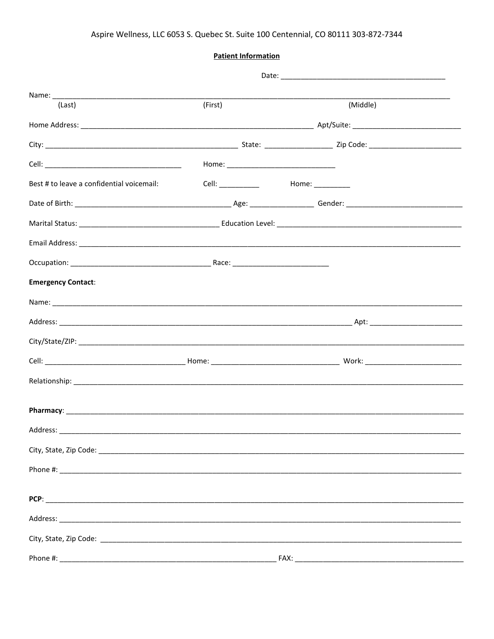**Patient Information** 

| (Last)                                    | (First) | (Middle) |
|-------------------------------------------|---------|----------|
|                                           |         |          |
|                                           |         |          |
|                                           |         |          |
| Best # to leave a confidential voicemail: |         |          |
|                                           |         |          |
|                                           |         |          |
|                                           |         |          |
|                                           |         |          |
| <b>Emergency Contact:</b>                 |         |          |
|                                           |         |          |
|                                           |         |          |
|                                           |         |          |
|                                           |         |          |
|                                           |         |          |
|                                           |         |          |
|                                           |         |          |
|                                           |         |          |
|                                           |         |          |
|                                           |         |          |
|                                           |         |          |
|                                           |         |          |
|                                           |         |          |
|                                           |         |          |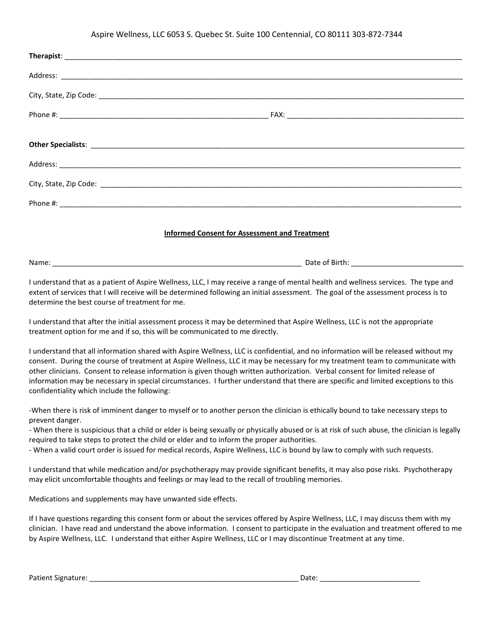## Aspire Wellness, LLC 6053 S. Quebec St. Suite 100 Centennial, CO 80111 303-872-7344

| <b>Informed Consent for Assessment and Treatment</b>                                                                                                                                                                          |  |  |
|-------------------------------------------------------------------------------------------------------------------------------------------------------------------------------------------------------------------------------|--|--|
|                                                                                                                                                                                                                               |  |  |
| I continuate that the constraint of Angles MUHR and HO Hammar active compact of an easily the big and continuate the office and continuation of the state of the state of the state of the state of the state of the state of |  |  |

I understand that as a patient of Aspire Wellness, LLC, I may receive a range of mental health and wellness services. The type and extent of services that I will receive will be determined following an initial assessment. The goal of the assessment process is to determine the best course of treatment for me.

I understand that after the initial assessment process it may be determined that Aspire Wellness, LLC is not the appropriate treatment option for me and if so, this will be communicated to me directly.

I understand that all information shared with Aspire Wellness, LLC is confidential, and no information will be released without my consent. During the course of treatment at Aspire Wellness, LLC it may be necessary for my treatment team to communicate with other clinicians. Consent to release information is given though written authorization. Verbal consent for limited release of information may be necessary in special circumstances. I further understand that there are specific and limited exceptions to this confidentiality which include the following:

-When there is risk of imminent danger to myself or to another person the clinician is ethically bound to take necessary steps to prevent danger.

- When there is suspicious that a child or elder is being sexually or physically abused or is at risk of such abuse, the clinician is legally required to take steps to protect the child or elder and to inform the proper authorities.

- When a valid court order is issued for medical records, Aspire Wellness, LLC is bound by law to comply with such requests.

I understand that while medication and/or psychotherapy may provide significant benefits, it may also pose risks. Psychotherapy may elicit uncomfortable thoughts and feelings or may lead to the recall of troubling memories.

Medications and supplements may have unwanted side effects.

If I have questions regarding this consent form or about the services offered by Aspire Wellness, LLC, I may discuss them with my clinician. I have read and understand the above information. I consent to participate in the evaluation and treatment offered to me by Aspire Wellness, LLC. I understand that either Aspire Wellness, LLC or I may discontinue Treatment at any time.

Patient Signature: \_\_\_\_\_\_\_\_\_\_\_\_\_\_\_\_\_\_\_\_\_\_\_\_\_\_\_\_\_\_\_\_\_\_\_\_\_\_\_\_\_\_\_\_\_\_\_\_\_\_\_\_ Date: \_\_\_\_\_\_\_\_\_\_\_\_\_\_\_\_\_\_\_\_\_\_\_\_\_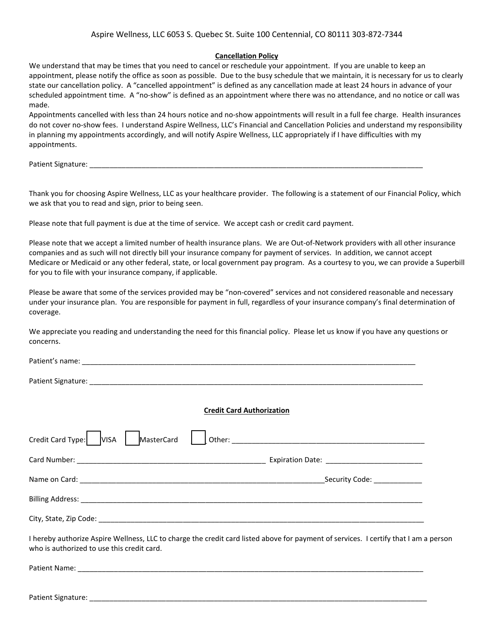## **Cancellation Policy**

We understand that may be times that you need to cancel or reschedule your appointment. If you are unable to keep an appointment, please notify the office as soon as possible. Due to the busy schedule that we maintain, it is necessary for us to clearly state our cancellation policy. A "cancelled appointment" is defined as any cancellation made at least 24 hours in advance of your scheduled appointment time. A "no-show" is defined as an appointment where there was no attendance, and no notice or call was made.

Appointments cancelled with less than 24 hours notice and no-show appointments will result in a full fee charge. Health insurances do not cover no-show fees. I understand Aspire Wellness, LLC's Financial and Cancellation Policies and understand my responsibility in planning my appointments accordingly, and will notify Aspire Wellness, LLC appropriately if I have difficulties with my appointments.

Patient Signature: \_\_\_\_\_\_\_\_\_\_\_\_\_\_\_\_\_\_\_\_\_\_\_\_\_\_\_\_\_\_\_\_\_\_\_\_\_\_\_\_\_\_\_\_\_\_\_\_\_\_\_\_\_\_\_\_\_\_\_\_\_\_\_\_\_\_\_\_\_\_\_\_\_\_\_\_\_\_\_\_\_\_\_

Thank you for choosing Aspire Wellness, LLC as your healthcare provider. The following is a statement of our Financial Policy, which we ask that you to read and sign, prior to being seen.

Please note that full payment is due at the time of service. We accept cash or credit card payment.

Please note that we accept a limited number of health insurance plans. We are Out-of-Network providers with all other insurance companies and as such will not directly bill your insurance company for payment of services. In addition, we cannot accept Medicare or Medicaid or any other federal, state, or local government pay program. As a courtesy to you, we can provide a Superbill for you to file with your insurance company, if applicable.

Please be aware that some of the services provided may be "non-covered" services and not considered reasonable and necessary under your insurance plan. You are responsible for payment in full, regardless of your insurance company's final determination of coverage.

We appreciate you reading and understanding the need for this financial policy. Please let us know if you have any questions or concerns.

Patient's name:  $\blacksquare$ 

Patient Signature:

## **Credit Card Authorization**

| Credit Card Type: VISA<br>MasterCard                                                                                                                                               |                                   |
|------------------------------------------------------------------------------------------------------------------------------------------------------------------------------------|-----------------------------------|
|                                                                                                                                                                                    |                                   |
|                                                                                                                                                                                    | Security Code: The Security Code: |
|                                                                                                                                                                                    |                                   |
| City, State, Zip Code: National State of the City, State of the City of the City of the City of the City of the City                                                               |                                   |
| I hereby authorize Aspire Wellness, LLC to charge the credit card listed above for payment of services. I certify that I am a person<br>who is authorized to use this credit card. |                                   |

Patient Name: